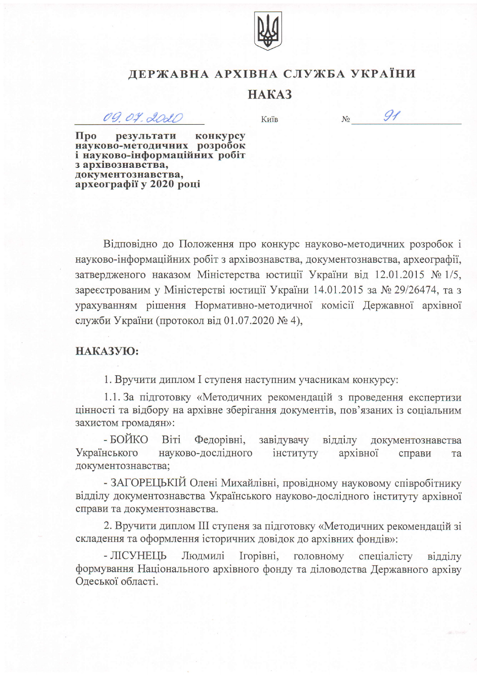

## ДЕРЖАВНА АРХІВНА СЛУЖБА УКРАЇНИ

## HAKA3

09.07.2020

Київ

 $N_2$ 

 $91$ 

Про результати конкурсу<br>науково-методичних розробок і науково-інформаційних робіт з архівознавства, документознавства, археографії у 2020 році

Відповідно до Положення про конкурс науково-методичних розробок і науково-інформаційних робіт з архівознавства, документознавства, археографії, затвердженого наказом Міністерства юстиції України від 12.01.2015 № 1/5, зареєстрованим у Міністерстві юстиції України 14.01.2015 за № 29/26474, та з урахуванням рішення Нормативно-методичної комісії Державної архівної служби України (протокол від 01.07.2020 № 4),

## НАКАЗУЮ:

1. Вручити диплом I ступеня наступним учасникам конкурсу:

1.1. За підготовку «Методичних рекомендацій з проведення експертизи цінності та відбору на архівне зберігання документів, пов'язаних із соціальним захистом громадян»:

- БОЙКО Віті Федорівні, завідувачу відділу документознавства науково-дослідного Українського інституту архівної справи та документознавства;

- ЗАГОРЕЦЬКІЙ Олені Михайлівні, провідному науковому співробітнику відділу документознавства Українського науково-дослідного інституту архівної справи та документознавства.

2. Вручити диплом III ступеня за підготовку «Методичних рекомендацій зі складення та оформлення історичних довідок до архівних фондів»:

Людмилі Ігорівні, - ЛІСУНЕЦЬ головному спеціалісту відділу формування Національного архівного фонду та діловодства Державного архіву Одеської області.